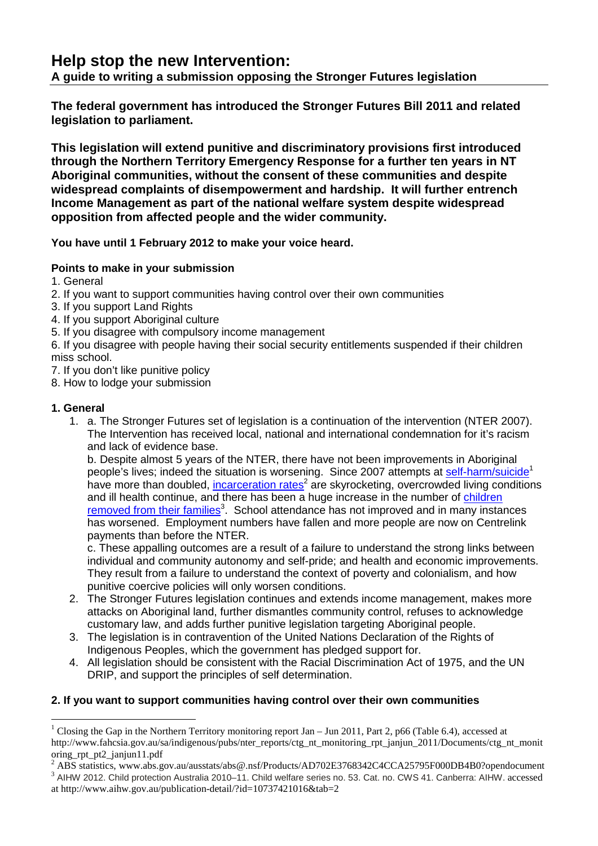# **Help stop the new Intervention:**

# **A guide to writing a submission opposing the Stronger Futures legislation**

**The federal government has introduced the Stronger Futures Bill 2011 and related legislation to parliament.** 

**This legislation will extend punitive and discriminatory provisions first introduced through the Northern Territory Emergency Response for a further ten years in NT Aboriginal communities, without the consent of these communities and despite widespread complaints of disempowerment and hardship. It will further entrench Income Management as part of the national welfare system despite widespread opposition from affected people and the wider community.** 

**You have until 1 February 2012 to make your voice heard.**

#### **Points to make in your submission**

- 1. General
- 2. If you want to support communities having control over their own communities
- 3. If you support Land Rights
- 4. If you support Aboriginal culture
- 5. If you disagree with compulsory income management

6. If you disagree with people having their social security entitlements suspended if their children miss school.

7. If you don't like punitive policy

8. How to lodge your submission

#### **1. General**

 $\overline{a}$ 

1. a. The Stronger Futures set of legislation is a continuation of the intervention (NTER 2007). The Intervention has received local, national and international condemnation for it's racism and lack of evidence base.

b. Despite almost 5 years of the NTER, there have not been improvements in Aboriginal people's lives; indeed the situation is worsening. Since 2007 attempts at self-harm/suicide<sup>1</sup> have more than doubled, incarceration rates<sup>2</sup> are skyrocketing, overcrowded living conditions and ill health continue, and there has been a huge increase in the number of children removed from their families<sup>3</sup>. School attendance has not improved and in many instances has worsened. Employment numbers have fallen and more people are now on Centrelink payments than before the NTER.

c. These appalling outcomes are a result of a failure to understand the strong links between individual and community autonomy and self-pride; and health and economic improvements. They result from a failure to understand the context of poverty and colonialism, and how punitive coercive policies will only worsen conditions.

- 2. The Stronger Futures legislation continues and extends income management, makes more attacks on Aboriginal land, further dismantles community control, refuses to acknowledge customary law, and adds further punitive legislation targeting Aboriginal people.
- 3. The legislation is in contravention of the United Nations Declaration of the Rights of Indigenous Peoples, which the government has pledged support for.
- 4. All legislation should be consistent with the Racial Discrimination Act of 1975, and the UN DRIP, and support the principles of self determination.

### **2. If you want to support communities having control over their own communities**

<sup>&</sup>lt;sup>1</sup> Closing the Gap in the Northern Territory monitoring report Jan  $-$  Jun 2011, Part 2, p66 (Table 6.4), accessed at http://www.fahcsia.gov.au/sa/indigenous/pubs/nter\_reports/ctg\_nt\_monitoring\_rpt\_janjun\_2011/Documents/ctg\_nt\_monit oring\_rpt\_pt2\_janjun11.pdf

<sup>&</sup>lt;sup>2</sup> ABS statistics, www.abs.gov.au/ausstats/abs@.nsf/Products/AD702E3768342C4CCA25795F000DB4B0?opendocument

<sup>&</sup>lt;sup>3</sup> AIHW 2012. Child protection Australia 2010-11. Child welfare series no. 53. Cat. no. CWS 41. Canberra: AIHW. accessed at http://www.aihw.gov.au/publication-detail/?id=10737421016&tab=2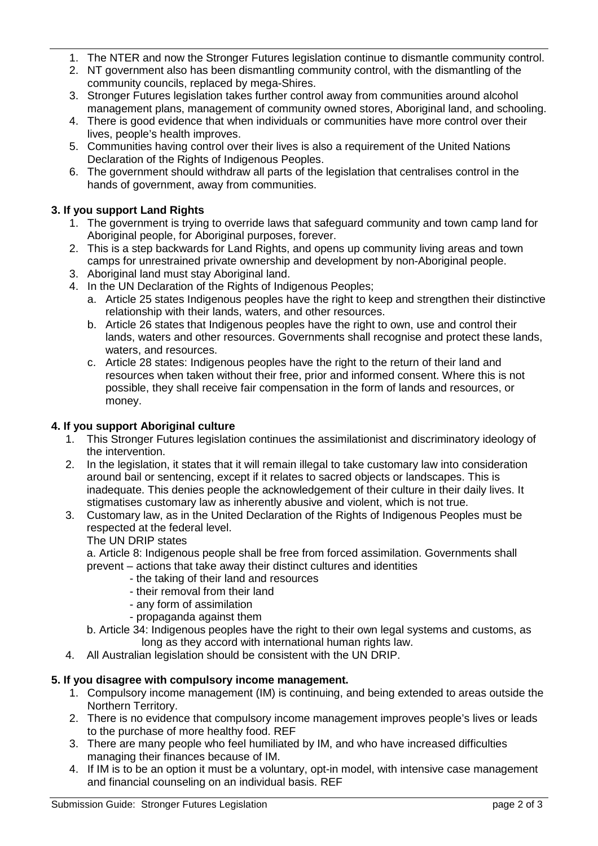- 1. The NTER and now the Stronger Futures legislation continue to dismantle community control.
- 2. NT government also has been dismantling community control, with the dismantling of the community councils, replaced by mega-Shires.
- 3. Stronger Futures legislation takes further control away from communities around alcohol management plans, management of community owned stores, Aboriginal land, and schooling.
- 4. There is good evidence that when individuals or communities have more control over their lives, people's health improves.
- 5. Communities having control over their lives is also a requirement of the United Nations Declaration of the Rights of Indigenous Peoples.
- 6. The government should withdraw all parts of the legislation that centralises control in the hands of government, away from communities.

#### **3. If you support Land Rights**

- 1. The government is trying to override laws that safeguard community and town camp land for Aboriginal people, for Aboriginal purposes, forever.
- 2. This is a step backwards for Land Rights, and opens up community living areas and town camps for unrestrained private ownership and development by non-Aboriginal people.
- 3. Aboriginal land must stay Aboriginal land.
- 4. In the UN Declaration of the Rights of Indigenous Peoples;
	- a. Article 25 states Indigenous peoples have the right to keep and strengthen their distinctive relationship with their lands, waters, and other resources.
	- b. Article 26 states that Indigenous peoples have the right to own, use and control their lands, waters and other resources. Governments shall recognise and protect these lands, waters, and resources.
	- c. Article 28 states: Indigenous peoples have the right to the return of their land and resources when taken without their free, prior and informed consent. Where this is not possible, they shall receive fair compensation in the form of lands and resources, or money.

#### **4. If you support Aboriginal culture**

- 1. This Stronger Futures legislation continues the assimilationist and discriminatory ideology of the intervention.
- 2. In the legislation, it states that it will remain illegal to take customary law into consideration around bail or sentencing, except if it relates to sacred objects or landscapes. This is inadequate. This denies people the acknowledgement of their culture in their daily lives. It stigmatises customary law as inherently abusive and violent, which is not true.
- 3. Customary law, as in the United Declaration of the Rights of Indigenous Peoples must be respected at the federal level.

#### The UN DRIP states

a. Article 8: Indigenous people shall be free from forced assimilation. Governments shall

- prevent actions that take away their distinct cultures and identities
	- the taking of their land and resources
	- their removal from their land
	- any form of assimilation
	- propaganda against them
- b. Article 34: Indigenous peoples have the right to their own legal systems and customs, as long as they accord with international human rights law.
- 4. All Australian legislation should be consistent with the UN DRIP.

#### **5. If you disagree with compulsory income management.**

- 1. Compulsory income management (IM) is continuing, and being extended to areas outside the Northern Territory.
- 2. There is no evidence that compulsory income management improves people's lives or leads to the purchase of more healthy food. REF
- 3. There are many people who feel humiliated by IM, and who have increased difficulties managing their finances because of IM.
- 4. If IM is to be an option it must be a voluntary, opt-in model, with intensive case management and financial counseling on an individual basis. REF